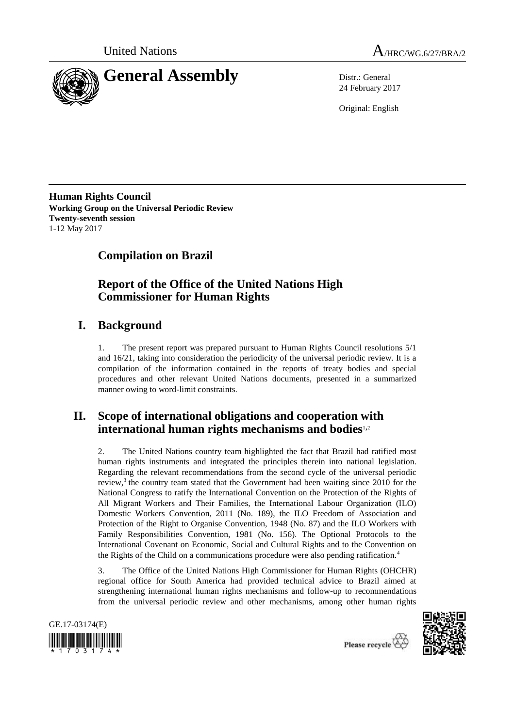



24 February 2017

Original: English

**Human Rights Council Working Group on the Universal Periodic Review Twenty-seventh session** 1-12 May 2017

# **Compilation on Brazil**

# **Report of the Office of the United Nations High Commissioner for Human Rights**

# **I. Background**

1. The present report was prepared pursuant to Human Rights Council resolutions 5/1 and 16/21, taking into consideration the periodicity of the universal periodic review. It is a compilation of the information contained in the reports of treaty bodies and special procedures and other relevant United Nations documents, presented in a summarized manner owing to word-limit constraints.

## **II. Scope of international obligations and cooperation with international human rights mechanisms and bodies**1,<sup>2</sup>

2. The United Nations country team highlighted the fact that Brazil had ratified most human rights instruments and integrated the principles therein into national legislation. Regarding the relevant recommendations from the second cycle of the universal periodic review, $3$  the country team stated that the Government had been waiting since 2010 for the National Congress to ratify the International Convention on the Protection of the Rights of All Migrant Workers and Their Families, the International Labour Organization (ILO) Domestic Workers Convention, 2011 (No. 189), the ILO Freedom of Association and Protection of the Right to Organise Convention, 1948 (No. 87) and the ILO Workers with Family Responsibilities Convention, 1981 (No. 156). The Optional Protocols to the International Covenant on Economic, Social and Cultural Rights and to the Convention on the Rights of the Child on a communications procedure were also pending ratification.<sup>4</sup>

3. The Office of the United Nations High Commissioner for Human Rights (OHCHR) regional office for South America had provided technical advice to Brazil aimed at strengthening international human rights mechanisms and follow-up to recommendations from the universal periodic review and other mechanisms, among other human rights



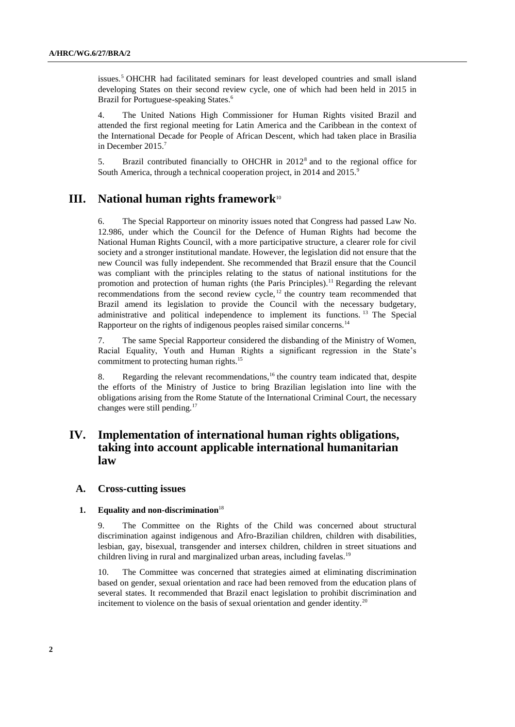issues.<sup>5</sup> OHCHR had facilitated seminars for least developed countries and small island developing States on their second review cycle, one of which had been held in 2015 in Brazil for Portuguese-speaking States.<sup>6</sup>

4. The United Nations High Commissioner for Human Rights visited Brazil and attended the first regional meeting for Latin America and the Caribbean in the context of the International Decade for People of African Descent, which had taken place in Brasilia in December 2015.<sup>7</sup>

5. Brazil contributed financially to OHCHR in  $2012<sup>8</sup>$  and to the regional office for South America, through a technical cooperation project, in 2014 and 2015.<sup>9</sup>

## **III. National human rights framework**<sup>10</sup>

6. The Special Rapporteur on minority issues noted that Congress had passed Law No. 12.986, under which the Council for the Defence of Human Rights had become the National Human Rights Council, with a more participative structure, a clearer role for civil society and a stronger institutional mandate. However, the legislation did not ensure that the new Council was fully independent. She recommended that Brazil ensure that the Council was compliant with the principles relating to the status of national institutions for the promotion and protection of human rights (the Paris Principles).<sup>11</sup> Regarding the relevant recommendations from the second review cycle,  $12$  the country team recommended that Brazil amend its legislation to provide the Council with the necessary budgetary, administrative and political independence to implement its functions. <sup>13</sup> The Special Rapporteur on the rights of indigenous peoples raised similar concerns.<sup>14</sup>

7. The same Special Rapporteur considered the disbanding of the Ministry of Women, Racial Equality, Youth and Human Rights a significant regression in the State's commitment to protecting human rights.<sup>15</sup>

8. Regarding the relevant recommendations,  $16$  the country team indicated that, despite the efforts of the Ministry of Justice to bring Brazilian legislation into line with the obligations arising from the Rome Statute of the International Criminal Court, the necessary changes were still pending.<sup>17</sup>

## **IV. Implementation of international human rights obligations, taking into account applicable international humanitarian law**

## **A. Cross-cutting issues**

## **1. Equality and non-discrimination**<sup>18</sup>

9. The Committee on the Rights of the Child was concerned about structural discrimination against indigenous and Afro-Brazilian children, children with disabilities, lesbian, gay, bisexual, transgender and intersex children, children in street situations and children living in rural and marginalized urban areas, including favelas.<sup>19</sup>

10. The Committee was concerned that strategies aimed at eliminating discrimination based on gender, sexual orientation and race had been removed from the education plans of several states. It recommended that Brazil enact legislation to prohibit discrimination and incitement to violence on the basis of sexual orientation and gender identity.<sup>20</sup>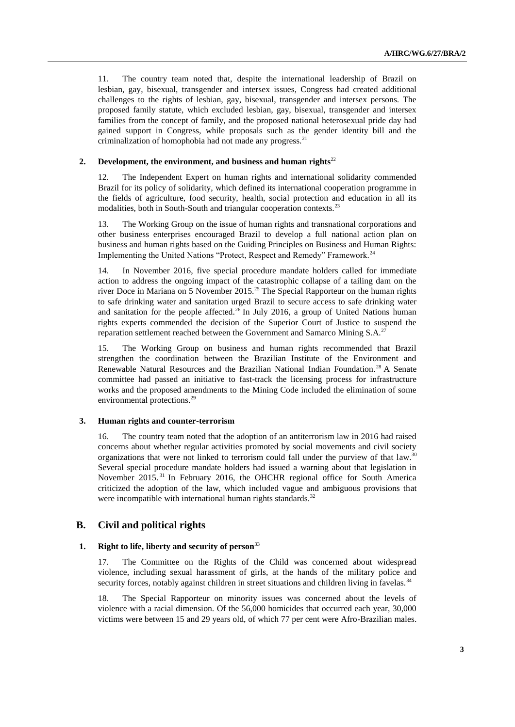11. The country team noted that, despite the international leadership of Brazil on lesbian, gay, bisexual, transgender and intersex issues, Congress had created additional challenges to the rights of lesbian, gay, bisexual, transgender and intersex persons. The proposed family statute, which excluded lesbian, gay, bisexual, transgender and intersex families from the concept of family, and the proposed national heterosexual pride day had gained support in Congress, while proposals such as the gender identity bill and the criminalization of homophobia had not made any progress. $^{21}$ 

#### **2.** Development, the environment, and business and human rights<sup>22</sup>

12. The Independent Expert on human rights and international solidarity commended Brazil for its policy of solidarity, which defined its international cooperation programme in the fields of agriculture, food security, health, social protection and education in all its modalities, both in South-South and triangular cooperation contexts.<sup>23</sup>

13. The Working Group on the issue of human rights and transnational corporations and other business enterprises encouraged Brazil to develop a full national action plan on business and human rights based on the Guiding Principles on Business and Human Rights: Implementing the United Nations "Protect, Respect and Remedy" Framework.<sup>24</sup>

14. In November 2016, five special procedure mandate holders called for immediate action to address the ongoing impact of the catastrophic collapse of a tailing dam on the river Doce in Mariana on 5 November 2015.<sup>25</sup> The Special Rapporteur on the human rights to safe drinking water and sanitation urged Brazil to secure access to safe drinking water and sanitation for the people affected.<sup>26</sup> In July 2016, a group of United Nations human rights experts commended the decision of the Superior Court of Justice to suspend the reparation settlement reached between the Government and Samarco Mining S.A.<sup>27</sup>

15. The Working Group on business and human rights recommended that Brazil strengthen the coordination between the Brazilian Institute of the Environment and Renewable Natural Resources and the Brazilian National Indian Foundation.<sup>28</sup> A Senate committee had passed an initiative to fast-track the licensing process for infrastructure works and the proposed amendments to the Mining Code included the elimination of some environmental protections.<sup>29</sup>

#### **3. Human rights and counter-terrorism**

16. The country team noted that the adoption of an antiterrorism law in 2016 had raised concerns about whether regular activities promoted by social movements and civil society organizations that were not linked to terrorism could fall under the purview of that law.<sup>30</sup> Several special procedure mandate holders had issued a warning about that legislation in November 2015.<sup>31</sup> In February 2016, the OHCHR regional office for South America criticized the adoption of the law, which included vague and ambiguous provisions that were incompatible with international human rights standards.<sup>32</sup>

## **B. Civil and political rights**

## **1. Right to life, liberty and security of person**<sup>33</sup>

17. The Committee on the Rights of the Child was concerned about widespread violence, including sexual harassment of girls, at the hands of the military police and security forces, notably against children in street situations and children living in favelas.<sup>34</sup>

18. The Special Rapporteur on minority issues was concerned about the levels of violence with a racial dimension. Of the 56,000 homicides that occurred each year, 30,000 victims were between 15 and 29 years old, of which 77 per cent were Afro-Brazilian males.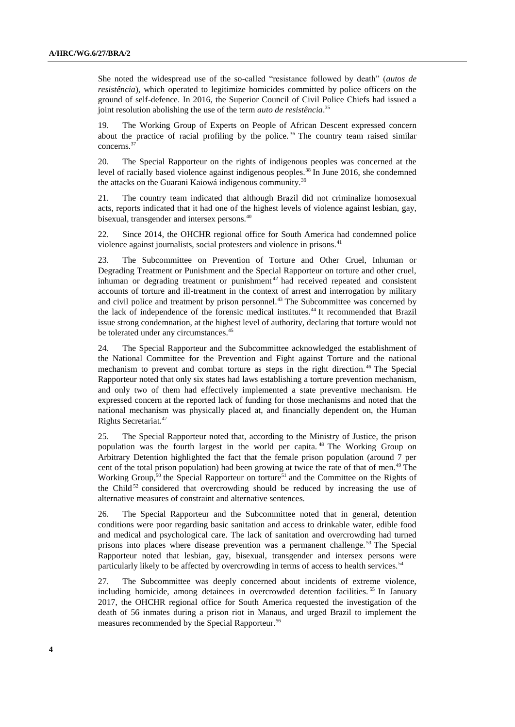She noted the widespread use of the so-called "resistance followed by death" (*autos de resistência*), which operated to legitimize homicides committed by police officers on the ground of self-defence. In 2016, the Superior Council of Civil Police Chiefs had issued a joint resolution abolishing the use of the term *auto de resistência*. 35

The Working Group of Experts on People of African Descent expressed concern about the practice of racial profiling by the police.<sup>36</sup> The country team raised similar concerns.<sup>37</sup>

20. The Special Rapporteur on the rights of indigenous peoples was concerned at the level of racially based violence against indigenous peoples.<sup>38</sup> In June 2016, she condemned the attacks on the Guarani Kaiowá indigenous community.<sup>39</sup>

21. The country team indicated that although Brazil did not criminalize homosexual acts, reports indicated that it had one of the highest levels of violence against lesbian, gay, bisexual, transgender and intersex persons.<sup>40</sup>

22. Since 2014, the OHCHR regional office for South America had condemned police violence against journalists, social protesters and violence in prisons.<sup>41</sup>

23. The Subcommittee on Prevention of Torture and Other Cruel, Inhuman or Degrading Treatment or Punishment and the Special Rapporteur on torture and other cruel, inhuman or degrading treatment or punishment <sup>42</sup> had received repeated and consistent accounts of torture and ill-treatment in the context of arrest and interrogation by military and civil police and treatment by prison personnel.<sup>43</sup> The Subcommittee was concerned by the lack of independence of the forensic medical institutes.<sup>44</sup> It recommended that Brazil issue strong condemnation, at the highest level of authority, declaring that torture would not be tolerated under any circumstances.<sup>45</sup>

24. The Special Rapporteur and the Subcommittee acknowledged the establishment of the National Committee for the Prevention and Fight against Torture and the national mechanism to prevent and combat torture as steps in the right direction. <sup>46</sup> The Special Rapporteur noted that only six states had laws establishing a torture prevention mechanism, and only two of them had effectively implemented a state preventive mechanism. He expressed concern at the reported lack of funding for those mechanisms and noted that the national mechanism was physically placed at, and financially dependent on, the Human Rights Secretariat.<sup>47</sup>

25. The Special Rapporteur noted that, according to the Ministry of Justice, the prison population was the fourth largest in the world per capita. <sup>48</sup> The Working Group on Arbitrary Detention highlighted the fact that the female prison population (around 7 per cent of the total prison population) had been growing at twice the rate of that of men.<sup>49</sup> The Working Group,<sup>50</sup> the Special Rapporteur on torture<sup>51</sup> and the Committee on the Rights of the Child<sup>52</sup> considered that overcrowding should be reduced by increasing the use of alternative measures of constraint and alternative sentences.

26. The Special Rapporteur and the Subcommittee noted that in general, detention conditions were poor regarding basic sanitation and access to drinkable water, edible food and medical and psychological care. The lack of sanitation and overcrowding had turned prisons into places where disease prevention was a permanent challenge. <sup>53</sup> The Special Rapporteur noted that lesbian, gay, bisexual, transgender and intersex persons were particularly likely to be affected by overcrowding in terms of access to health services.<sup>54</sup>

27. The Subcommittee was deeply concerned about incidents of extreme violence, including homicide, among detainees in overcrowded detention facilities. <sup>55</sup> In January 2017, the OHCHR regional office for South America requested the investigation of the death of 56 inmates during a prison riot in Manaus, and urged Brazil to implement the measures recommended by the Special Rapporteur.<sup>56</sup>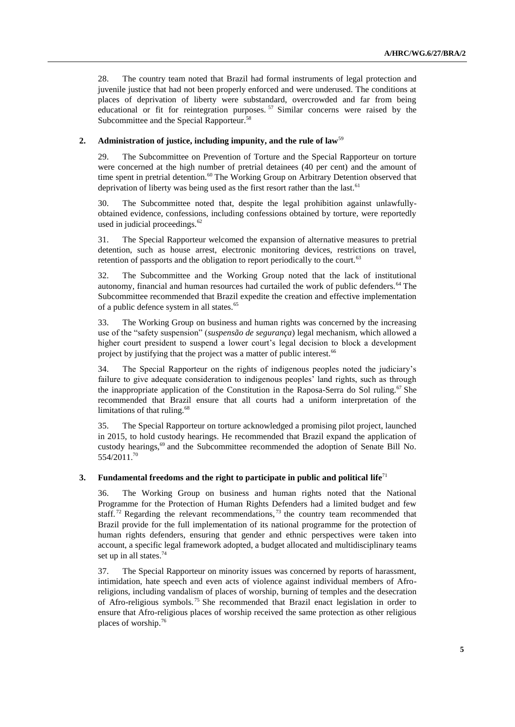28. The country team noted that Brazil had formal instruments of legal protection and juvenile justice that had not been properly enforced and were underused. The conditions at places of deprivation of liberty were substandard, overcrowded and far from being educational or fit for reintegration purposes.<sup>57</sup> Similar concerns were raised by the Subcommittee and the Special Rapporteur.<sup>58</sup>

## **2. Administration of justice, including impunity, and the rule of law**<sup>59</sup>

29. The Subcommittee on Prevention of Torture and the Special Rapporteur on torture were concerned at the high number of pretrial detainees (40 per cent) and the amount of time spent in pretrial detention.<sup>60</sup> The Working Group on Arbitrary Detention observed that deprivation of liberty was being used as the first resort rather than the last.<sup>61</sup>

30. The Subcommittee noted that, despite the legal prohibition against unlawfullyobtained evidence, confessions, including confessions obtained by torture, were reportedly used in judicial proceedings.<sup>62</sup>

31. The Special Rapporteur welcomed the expansion of alternative measures to pretrial detention, such as house arrest, electronic monitoring devices, restrictions on travel, retention of passports and the obligation to report periodically to the court.<sup>63</sup>

32. The Subcommittee and the Working Group noted that the lack of institutional autonomy, financial and human resources had curtailed the work of public defenders.<sup>64</sup> The Subcommittee recommended that Brazil expedite the creation and effective implementation of a public defence system in all states.<sup>65</sup>

33. The Working Group on business and human rights was concerned by the increasing use of the "safety suspension" (*suspensão de segurança*) legal mechanism, which allowed a higher court president to suspend a lower court's legal decision to block a development project by justifying that the project was a matter of public interest.<sup>66</sup>

34. The Special Rapporteur on the rights of indigenous peoples noted the judiciary's failure to give adequate consideration to indigenous peoples' land rights, such as through the inappropriate application of the Constitution in the Raposa-Serra do Sol ruling.<sup>67</sup> She recommended that Brazil ensure that all courts had a uniform interpretation of the limitations of that ruling.<sup>68</sup>

35. The Special Rapporteur on torture acknowledged a promising pilot project, launched in 2015, to hold custody hearings. He recommended that Brazil expand the application of custody hearings,<sup>69</sup> and the Subcommittee recommended the adoption of Senate Bill No. 554/2011.<sup>70</sup>

## **3. Fundamental freedoms and the right to participate in public and political life**<sup>71</sup>

36. The Working Group on business and human rights noted that the National Programme for the Protection of Human Rights Defenders had a limited budget and few staff.<sup>72</sup> Regarding the relevant recommendations,<sup>73</sup> the country team recommended that Brazil provide for the full implementation of its national programme for the protection of human rights defenders, ensuring that gender and ethnic perspectives were taken into account, a specific legal framework adopted, a budget allocated and multidisciplinary teams set up in all states.<sup>74</sup>

37. The Special Rapporteur on minority issues was concerned by reports of harassment, intimidation, hate speech and even acts of violence against individual members of Afroreligions, including vandalism of places of worship, burning of temples and the desecration of Afro-religious symbols.<sup>75</sup> She recommended that Brazil enact legislation in order to ensure that Afro-religious places of worship received the same protection as other religious places of worship.76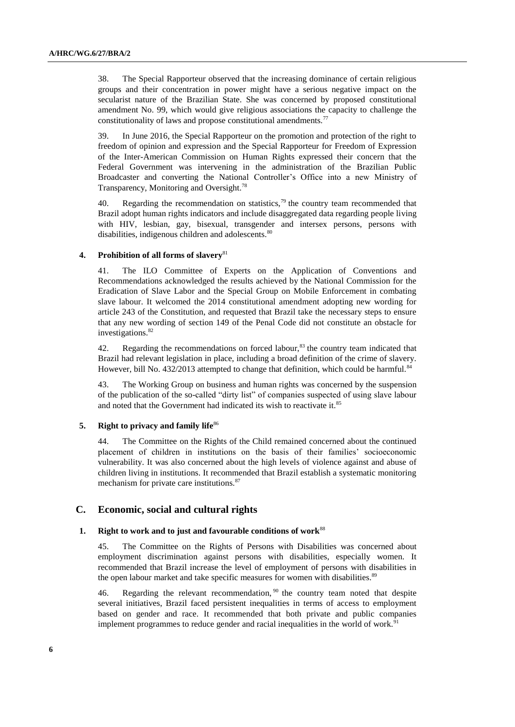38. The Special Rapporteur observed that the increasing dominance of certain religious groups and their concentration in power might have a serious negative impact on the secularist nature of the Brazilian State. She was concerned by proposed constitutional amendment No. 99, which would give religious associations the capacity to challenge the constitutionality of laws and propose constitutional amendments.<sup>77</sup>

39. In June 2016, the Special Rapporteur on the promotion and protection of the right to freedom of opinion and expression and the Special Rapporteur for Freedom of Expression of the Inter-American Commission on Human Rights expressed their concern that the Federal Government was intervening in the administration of the Brazilian Public Broadcaster and converting the National Controller's Office into a new Ministry of Transparency, Monitoring and Oversight.<sup>78</sup>

40. Regarding the recommendation on statistics,<sup>79</sup> the country team recommended that Brazil adopt human rights indicators and include disaggregated data regarding people living with HIV, lesbian, gay, bisexual, transgender and intersex persons, persons with disabilities, indigenous children and adolescents.<sup>80</sup>

## **4. Prohibition of all forms of slavery**<sup>81</sup>

41. The ILO Committee of Experts on the Application of Conventions and Recommendations acknowledged the results achieved by the National Commission for the Eradication of Slave Labor and the Special Group on Mobile Enforcement in combating slave labour. It welcomed the 2014 constitutional amendment adopting new wording for article 243 of the Constitution, and requested that Brazil take the necessary steps to ensure that any new wording of section 149 of the Penal Code did not constitute an obstacle for investigations.<sup>82</sup>

42. Regarding the recommendations on forced labour, $83$  the country team indicated that Brazil had relevant legislation in place, including a broad definition of the crime of slavery. However, bill No. 432/2013 attempted to change that definition, which could be harmful.<sup>84</sup>

43. The Working Group on business and human rights was concerned by the suspension of the publication of the so-called "dirty list" of companies suspected of using slave labour and noted that the Government had indicated its wish to reactivate it.<sup>85</sup>

## **5. Right to privacy and family life**<sup>86</sup>

44. The Committee on the Rights of the Child remained concerned about the continued placement of children in institutions on the basis of their families' socioeconomic vulnerability. It was also concerned about the high levels of violence against and abuse of children living in institutions. It recommended that Brazil establish a systematic monitoring mechanism for private care institutions.<sup>87</sup>

## **C. Economic, social and cultural rights**

#### **1. Right to work and to just and favourable conditions of work**<sup>88</sup>

45. The Committee on the Rights of Persons with Disabilities was concerned about employment discrimination against persons with disabilities, especially women. It recommended that Brazil increase the level of employment of persons with disabilities in the open labour market and take specific measures for women with disabilities.<sup>89</sup>

46. Regarding the relevant recommendation,  $90$  the country team noted that despite several initiatives, Brazil faced persistent inequalities in terms of access to employment based on gender and race. It recommended that both private and public companies implement programmes to reduce gender and racial inequalities in the world of work.<sup>91</sup>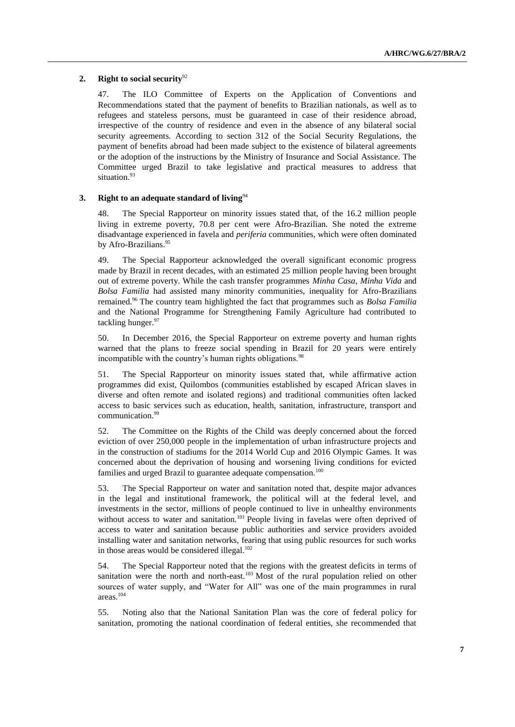## **2. Right to social security**<sup>92</sup>

47. The ILO Committee of Experts on the Application of Conventions and Recommendations stated that the payment of benefits to Brazilian nationals, as well as to refugees and stateless persons, must be guaranteed in case of their residence abroad, irrespective of the country of residence and even in the absence of any bilateral social security agreements. According to section 312 of the Social Security Regulations, the payment of benefits abroad had been made subject to the existence of bilateral agreements or the adoption of the instructions by the Ministry of Insurance and Social Assistance. The Committee urged Brazil to take legislative and practical measures to address that situation.<sup>93</sup>

## **3. Right to an adequate standard of living**<sup>94</sup>

48. The Special Rapporteur on minority issues stated that, of the 16.2 million people living in extreme poverty, 70.8 per cent were Afro-Brazilian. She noted the extreme disadvantage experienced in favela and *periferia* communities, which were often dominated by Afro-Brazilians.<sup>95</sup>

49. The Special Rapporteur acknowledged the overall significant economic progress made by Brazil in recent decades, with an estimated 25 million people having been brought out of extreme poverty. While the cash transfer programmes *Minha Casa*, *Minha Vida* and *Bolsa Familia* had assisted many minority communities, inequality for Afro-Brazilians remained.<sup>96</sup> The country team highlighted the fact that programmes such as *Bolsa Familia* and the National Programme for Strengthening Family Agriculture had contributed to tackling hunger.<sup>97</sup>

50. In December 2016, the Special Rapporteur on extreme poverty and human rights warned that the plans to freeze social spending in Brazil for 20 years were entirely incompatible with the country's human rights obligations.<sup>98</sup>

51. The Special Rapporteur on minority issues stated that, while affirmative action programmes did exist, Quilombos (communities established by escaped African slaves in diverse and often remote and isolated regions) and traditional communities often lacked access to basic services such as education, health, sanitation, infrastructure, transport and communication.<sup>99</sup>

52. The Committee on the Rights of the Child was deeply concerned about the forced eviction of over 250,000 people in the implementation of urban infrastructure projects and in the construction of stadiums for the 2014 World Cup and 2016 Olympic Games. It was concerned about the deprivation of housing and worsening living conditions for evicted families and urged Brazil to guarantee adequate compensation.<sup>100</sup>

53. The Special Rapporteur on water and sanitation noted that, despite major advances in the legal and institutional framework, the political will at the federal level, and investments in the sector, millions of people continued to live in unhealthy environments without access to water and sanitation.<sup>101</sup> People living in favelas were often deprived of access to water and sanitation because public authorities and service providers avoided installing water and sanitation networks, fearing that using public resources for such works in those areas would be considered illegal.<sup>102</sup>

54. The Special Rapporteur noted that the regions with the greatest deficits in terms of sanitation were the north and north-east.<sup>103</sup> Most of the rural population relied on other sources of water supply, and "Water for All" was one of the main programmes in rural areas.<sup>104</sup>

55. Noting also that the National Sanitation Plan was the core of federal policy for sanitation, promoting the national coordination of federal entities, she recommended that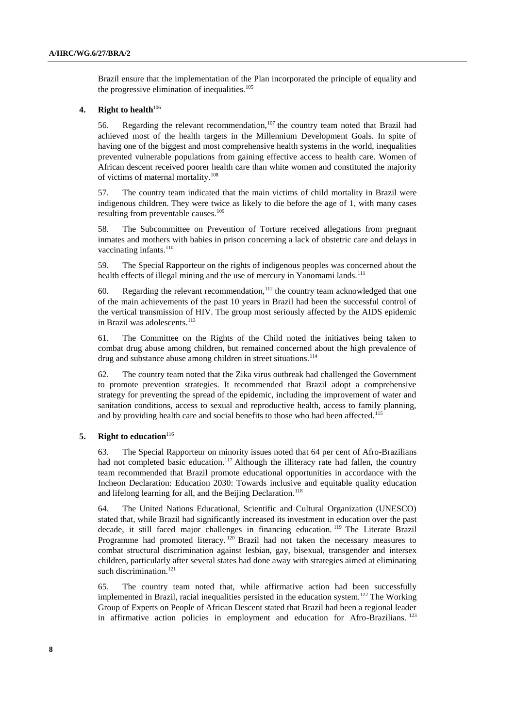Brazil ensure that the implementation of the Plan incorporated the principle of equality and the progressive elimination of inequalities. $105$ 

## **4. Right to health**<sup>106</sup>

56. Regarding the relevant recommendation,  $107$  the country team noted that Brazil had achieved most of the health targets in the Millennium Development Goals. In spite of having one of the biggest and most comprehensive health systems in the world, inequalities prevented vulnerable populations from gaining effective access to health care. Women of African descent received poorer health care than white women and constituted the majority of victims of maternal mortality.<sup>108</sup>

57. The country team indicated that the main victims of child mortality in Brazil were indigenous children. They were twice as likely to die before the age of 1, with many cases resulting from preventable causes.<sup>109</sup>

58. The Subcommittee on Prevention of Torture received allegations from pregnant inmates and mothers with babies in prison concerning a lack of obstetric care and delays in vaccinating infants.<sup>110</sup>

59. The Special Rapporteur on the rights of indigenous peoples was concerned about the health effects of illegal mining and the use of mercury in Yanomami lands.<sup>111</sup>

60. Regarding the relevant recommendation,  $112$  the country team acknowledged that one of the main achievements of the past 10 years in Brazil had been the successful control of the vertical transmission of HIV. The group most seriously affected by the AIDS epidemic in Brazil was adolescents.<sup>113</sup>

61. The Committee on the Rights of the Child noted the initiatives being taken to combat drug abuse among children, but remained concerned about the high prevalence of drug and substance abuse among children in street situations.<sup>114</sup>

62. The country team noted that the Zika virus outbreak had challenged the Government to promote prevention strategies. It recommended that Brazil adopt a comprehensive strategy for preventing the spread of the epidemic, including the improvement of water and sanitation conditions, access to sexual and reproductive health, access to family planning, and by providing health care and social benefits to those who had been affected.<sup>115</sup>

## **5. Right to education**<sup>116</sup>

63. The Special Rapporteur on minority issues noted that 64 per cent of Afro-Brazilians had not completed basic education.<sup>117</sup> Although the illiteracy rate had fallen, the country team recommended that Brazil promote educational opportunities in accordance with the Incheon Declaration: Education 2030: Towards inclusive and equitable quality education and lifelong learning for all, and the Beijing Declaration.<sup>118</sup>

64. The United Nations Educational, Scientific and Cultural Organization (UNESCO) stated that, while Brazil had significantly increased its investment in education over the past decade, it still faced major challenges in financing education. <sup>119</sup> The Literate Brazil Programme had promoted literacy.<sup>120</sup> Brazil had not taken the necessary measures to combat structural discrimination against lesbian, gay, bisexual, transgender and intersex children, particularly after several states had done away with strategies aimed at eliminating such discrimination.<sup>121</sup>

65. The country team noted that, while affirmative action had been successfully implemented in Brazil, racial inequalities persisted in the education system.<sup>122</sup> The Working Group of Experts on People of African Descent stated that Brazil had been a regional leader in affirmative action policies in employment and education for Afro-Brazilians.<sup>123</sup>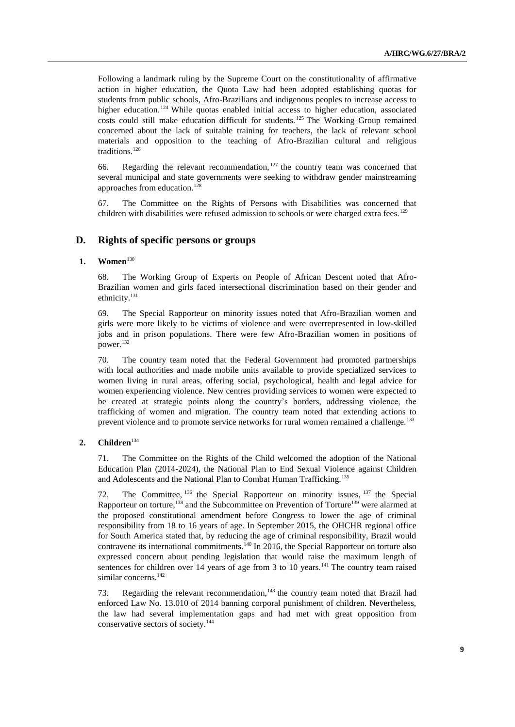Following a landmark ruling by the Supreme Court on the constitutionality of affirmative action in higher education, the Quota Law had been adopted establishing quotas for students from public schools, Afro-Brazilians and indigenous peoples to increase access to higher education.<sup>124</sup> While quotas enabled initial access to higher education, associated costs could still make education difficult for students. <sup>125</sup> The Working Group remained concerned about the lack of suitable training for teachers, the lack of relevant school materials and opposition to the teaching of Afro-Brazilian cultural and religious traditions.<sup>126</sup>

66. Regarding the relevant recommendation,  $127$  the country team was concerned that several municipal and state governments were seeking to withdraw gender mainstreaming approaches from education. 128

67. The Committee on the Rights of Persons with Disabilities was concerned that children with disabilities were refused admission to schools or were charged extra fees.<sup>129</sup>

## **D. Rights of specific persons or groups**

## **1. Women**<sup>130</sup>

68. The Working Group of Experts on People of African Descent noted that Afro-Brazilian women and girls faced intersectional discrimination based on their gender and ethnicity.<sup>131</sup>

69. The Special Rapporteur on minority issues noted that Afro-Brazilian women and girls were more likely to be victims of violence and were overrepresented in low-skilled jobs and in prison populations. There were few Afro-Brazilian women in positions of power.<sup>132</sup>

70. The country team noted that the Federal Government had promoted partnerships with local authorities and made mobile units available to provide specialized services to women living in rural areas, offering social, psychological, health and legal advice for women experiencing violence. New centres providing services to women were expected to be created at strategic points along the country's borders, addressing violence, the trafficking of women and migration. The country team noted that extending actions to prevent violence and to promote service networks for rural women remained a challenge.<sup>133</sup>

## 2. **Children**<sup>134</sup>

71. The Committee on the Rights of the Child welcomed the adoption of the National Education Plan (2014-2024), the National Plan to End Sexual Violence against Children and Adolescents and the National Plan to Combat Human Trafficking.<sup>135</sup>

72. The Committee, <sup>136</sup> the Special Rapporteur on minority issues, <sup>137</sup> the Special Rapporteur on torture,<sup>138</sup> and the Subcommittee on Prevention of Torture<sup>139</sup> were alarmed at the proposed constitutional amendment before Congress to lower the age of criminal responsibility from 18 to 16 years of age. In September 2015, the OHCHR regional office for South America stated that, by reducing the age of criminal responsibility, Brazil would contravene its international commitments.<sup>140</sup> In 2016, the Special Rapporteur on torture also expressed concern about pending legislation that would raise the maximum length of sentences for children over 14 years of age from 3 to 10 years.<sup>141</sup> The country team raised similar concerns.<sup>142</sup>

73. Regarding the relevant recommendation,  $143$  the country team noted that Brazil had enforced Law No. 13.010 of 2014 banning corporal punishment of children. Nevertheless, the law had several implementation gaps and had met with great opposition from conservative sectors of society.144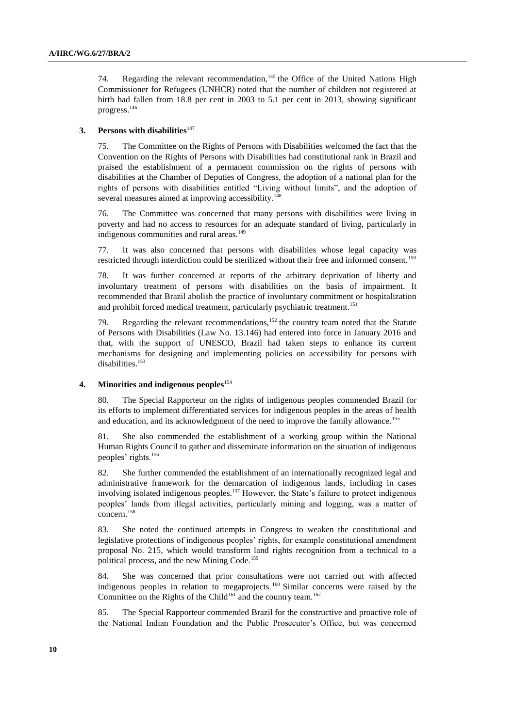74. Regarding the relevant recommendation, $145$  the Office of the United Nations High Commissioner for Refugees (UNHCR) noted that the number of children not registered at birth had fallen from 18.8 per cent in 2003 to 5.1 per cent in 2013, showing significant progress.<sup>146</sup>

## **3.** Persons with disabilities<sup>147</sup>

75. The Committee on the Rights of Persons with Disabilities welcomed the fact that the Convention on the Rights of Persons with Disabilities had constitutional rank in Brazil and praised the establishment of a permanent commission on the rights of persons with disabilities at the Chamber of Deputies of Congress, the adoption of a national plan for the rights of persons with disabilities entitled "Living without limits", and the adoption of several measures aimed at improving accessibility.<sup>148</sup>

76. The Committee was concerned that many persons with disabilities were living in poverty and had no access to resources for an adequate standard of living, particularly in indigenous communities and rural areas.<sup>149</sup>

77. It was also concerned that persons with disabilities whose legal capacity was restricted through interdiction could be sterilized without their free and informed consent.<sup>150</sup>

78. It was further concerned at reports of the arbitrary deprivation of liberty and involuntary treatment of persons with disabilities on the basis of impairment. It recommended that Brazil abolish the practice of involuntary commitment or hospitalization and prohibit forced medical treatment, particularly psychiatric treatment.<sup>151</sup>

79. Regarding the relevant recommendations,  $152$  the country team noted that the Statute of Persons with Disabilities (Law No. 13.146) had entered into force in January 2016 and that, with the support of UNESCO, Brazil had taken steps to enhance its current mechanisms for designing and implementing policies on accessibility for persons with disabilities.<sup>153</sup>

#### **4. Minorities and indigenous peoples**<sup>154</sup>

80. The Special Rapporteur on the rights of indigenous peoples commended Brazil for its efforts to implement differentiated services for indigenous peoples in the areas of health and education, and its acknowledgment of the need to improve the family allowance.<sup>155</sup>

81. She also commended the establishment of a working group within the National Human Rights Council to gather and disseminate information on the situation of indigenous peoples' rights.<sup>156</sup>

82. She further commended the establishment of an internationally recognized legal and administrative framework for the demarcation of indigenous lands, including in cases involving isolated indigenous peoples.<sup>157</sup> However, the State's failure to protect indigenous peoples' lands from illegal activities, particularly mining and logging, was a matter of concern.<sup>158</sup>

83. She noted the continued attempts in Congress to weaken the constitutional and legislative protections of indigenous peoples' rights, for example constitutional amendment proposal No. 215, which would transform land rights recognition from a technical to a political process, and the new Mining Code.<sup>159</sup>

84. She was concerned that prior consultations were not carried out with affected indigenous peoples in relation to megaprojects. <sup>160</sup> Similar concerns were raised by the Committee on the Rights of the Child<sup>161</sup> and the country team.<sup>162</sup>

85. The Special Rapporteur commended Brazil for the constructive and proactive role of the National Indian Foundation and the Public Prosecutor's Office, but was concerned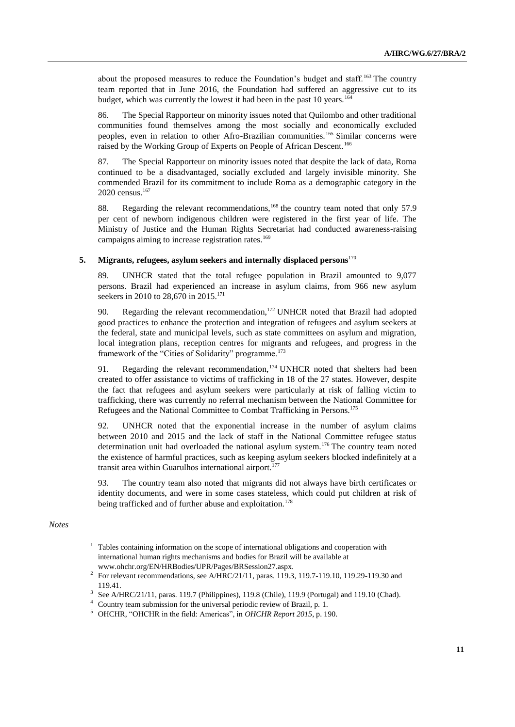about the proposed measures to reduce the Foundation's budget and staff.<sup>163</sup> The country team reported that in June 2016, the Foundation had suffered an aggressive cut to its budget, which was currently the lowest it had been in the past 10 years.<sup>164</sup>

86. The Special Rapporteur on minority issues noted that Quilombo and other traditional communities found themselves among the most socially and economically excluded peoples, even in relation to other Afro-Brazilian communities.<sup>165</sup> Similar concerns were raised by the Working Group of Experts on People of African Descent.<sup>166</sup>

87. The Special Rapporteur on minority issues noted that despite the lack of data, Roma continued to be a disadvantaged, socially excluded and largely invisible minority. She commended Brazil for its commitment to include Roma as a demographic category in the 2020 census.<sup>167</sup>

88. Regarding the relevant recommendations, <sup>168</sup> the country team noted that only 57.9 per cent of newborn indigenous children were registered in the first year of life. The Ministry of Justice and the Human Rights Secretariat had conducted awareness-raising campaigns aiming to increase registration rates.<sup>169</sup>

## **5. Migrants, refugees, asylum seekers and internally displaced persons**<sup>170</sup>

89. UNHCR stated that the total refugee population in Brazil amounted to 9,077 persons. Brazil had experienced an increase in asylum claims, from 966 new asylum seekers in 2010 to 28,670 in 2015.<sup>171</sup>

90. Regarding the relevant recommendation,  $172$  UNHCR noted that Brazil had adopted good practices to enhance the protection and integration of refugees and asylum seekers at the federal, state and municipal levels, such as state committees on asylum and migration, local integration plans, reception centres for migrants and refugees, and progress in the framework of the "Cities of Solidarity" programme.<sup>173</sup>

91. Regarding the relevant recommendation,  $174$  UNHCR noted that shelters had been created to offer assistance to victims of trafficking in 18 of the 27 states. However, despite the fact that refugees and asylum seekers were particularly at risk of falling victim to trafficking, there was currently no referral mechanism between the National Committee for Refugees and the National Committee to Combat Trafficking in Persons.<sup>175</sup>

92. UNHCR noted that the exponential increase in the number of asylum claims between 2010 and 2015 and the lack of staff in the National Committee refugee status determination unit had overloaded the national asylum system.<sup>176</sup> The country team noted the existence of harmful practices, such as keeping asylum seekers blocked indefinitely at a transit area within Guarulhos international airport.<sup>177</sup>

93. The country team also noted that migrants did not always have birth certificates or identity documents, and were in some cases stateless, which could put children at risk of being trafficked and of further abuse and exploitation.<sup>178</sup>

## *Notes*

- <sup>1</sup> Tables containing information on the scope of international obligations and cooperation with international human rights mechanisms and bodies for Brazil will be available at www.ohchr.org/EN/HRBodies/UPR/Pages/BRSession27.aspx.
- <sup>2</sup> For relevant recommendations, see A/HRC/21/11, paras. 119.3, 119.7-119.10, 119.29-119.30 and 119.41.
- <sup>3</sup> See A/HRC/21/11, paras. 119.7 (Philippines), 119.8 (Chile), 119.9 (Portugal) and 119.10 (Chad).
- <sup>4</sup> Country team submission for the universal periodic review of Brazil, p. 1.
- <sup>5</sup> OHCHR, "OHCHR in the field: Americas", in *OHCHR Report 2015*, p. 190.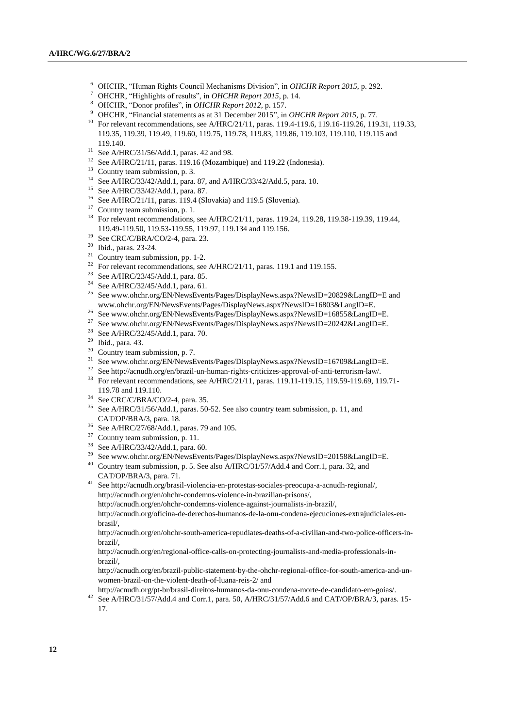- <sup>6</sup> OHCHR, "Human Rights Council Mechanisms Division", in *OHCHR Report 2015*, p. 292.
- <sup>7</sup> OHCHR, "Highlights of results", in *OHCHR Report 2015*, p. 14.
- <sup>8</sup> OHCHR, "Donor profiles", in *OHCHR Report 2012*, p. 157.
- <sup>9</sup> OHCHR, "Financial statements as at 31 December 2015", in *OHCHR Report 2015*, p. 77.
- <sup>10</sup> For relevant recommendations, see A/HRC/21/11, paras. 119.4-119.6, 119.16-119.26, 119.31, 119.33, 119.35, 119.39, 119.49, 119.60, 119.75, 119.78, 119.83, 119.86, 119.103, 119.110, 119.115 and 119.140.
- <sup>11</sup> See A/HRC/31/56/Add.1, paras. 42 and 98.
- <sup>12</sup> See A/HRC/21/11, paras.  $119.16$  (Mozambique) and 119.22 (Indonesia).
- <sup>13</sup> Country team submission, p. 3.
- <sup>14</sup> See A/HRC/33/42/Add.1, para. 87, and A/HRC/33/42/Add.5, para. 10.
- <sup>15</sup> See A/HRC/33/42/Add.1, para. 87.
- <sup>16</sup> See A/HRC/21/11, paras. 119.4 (Slovakia) and 119.5 (Slovenia).
- <sup>17</sup> Country team submission, p. 1.
- <sup>18</sup> For relevant recommendations, see A/HRC/21/11, paras. 119.24, 119.28, 119.38-119.39, 119.44, 119.49-119.50, 119.53-119.55, 119.97, 119.134 and 119.156.
- <sup>19</sup> See CRC/C/BRA/CO/2-4, para. 23.
- <sup>20</sup> Ibid., paras. 23-24.
- <sup>21</sup> Country team submission, pp. 1-2.
- <sup>22</sup> For relevant recommendations, see A/HRC/21/11, paras. 119.1 and 119.155.
- <sup>23</sup> See A/HRC/23/45/Add.1, para. 85.
- <sup>24</sup> See A/HRC/32/45/Add.1, para. 61.
- <sup>25</sup> See www.ohchr.org/EN/NewsEvents/Pages/DisplayNews.aspx?NewsID=20829&LangID=E and www.ohchr.org/EN/NewsEvents/Pages/DisplayNews.aspx?NewsID=16803&LangID=E.
- <sup>26</sup> See www.ohchr.org/EN/NewsEvents/Pages/DisplayNews.aspx?NewsID=16855&LangID=E.
- <sup>27</sup> See www.ohchr.org/EN/NewsEvents/Pages/DisplayNews.aspx?NewsID=20242&LangID=E.
- <sup>28</sup> See A/HRC/32/45/Add.1, para. 70.
- <sup>29</sup> Ibid., para. 43.
- <sup>30</sup> Country team submission, p. 7.
- <sup>31</sup> See www.ohchr.org/EN/NewsEvents/Pages/DisplayNews.aspx?NewsID=16709&LangID=E.
- <sup>32</sup> See http://acnudh.org/en/brazil-un-human-rights-criticizes-approval-of-anti-terrorism-law/.
- <sup>33</sup> For relevant recommendations, see A/HRC/21/11, paras. 119.11-119.15, 119.59-119.69, 119.71-119.78 and 119.110.
- <sup>34</sup> See CRC/C/BRA/CO/2-4, para. 35.
- <sup>35</sup> See A/HRC/31/56/Add.1, paras. 50-52. See also country team submission, p. 11, and CAT/OP/BRA/3, para. 18.
- <sup>36</sup> See A/HRC/27/68/Add.1, paras. 79 and 105.
- <sup>37</sup> Country team submission, p. 11.
- $38$  See A/HRC/33/42/Add.1, para. 60.
- See www.ohchr.org/EN/NewsEvents/Pages/DisplayNews.aspx?NewsID=20158&LangID=E.
- <sup>40</sup> Country team submission, p. 5. See also A/HRC/31/57/Add.4 and Corr.1, para. 32, and CAT/OP/BRA/3, para. 71.
- <sup>41</sup> See http://acnudh.org/brasil-violencia-en-protestas-sociales-preocupa-a-acnudh-regional/, http://acnudh.org/en/ohchr-condemns-violence-in-brazilian-prisons/,
	- http://acnudh.org/en/ohchr-condemns-violence-against-journalists-in-brazil/,

http://acnudh.org/oficina-de-derechos-humanos-de-la-onu-condena-ejecuciones-extrajudiciales-enbrasil/,

http://acnudh.org/en/ohchr-south-america-repudiates-deaths-of-a-civilian-and-two-police-officers-inbrazil/,

http://acnudh.org/en/regional-office-calls-on-protecting-journalists-and-media-professionals-inbrazil/,

http://acnudh.org/en/brazil-public-statement-by-the-ohchr-regional-office-for-south-america-and-unwomen-brazil-on-the-violent-death-of-luana-reis-2/ and

http://acnudh.org/pt-br/brasil-direitos-humanos-da-onu-condena-morte-de-candidato-em-goias/.

<sup>42</sup> See A/HRC/31/57/Add.4 and Corr.1, para. 50, A/HRC/31/57/Add.6 and CAT/OP/BRA/3, paras. 15-17.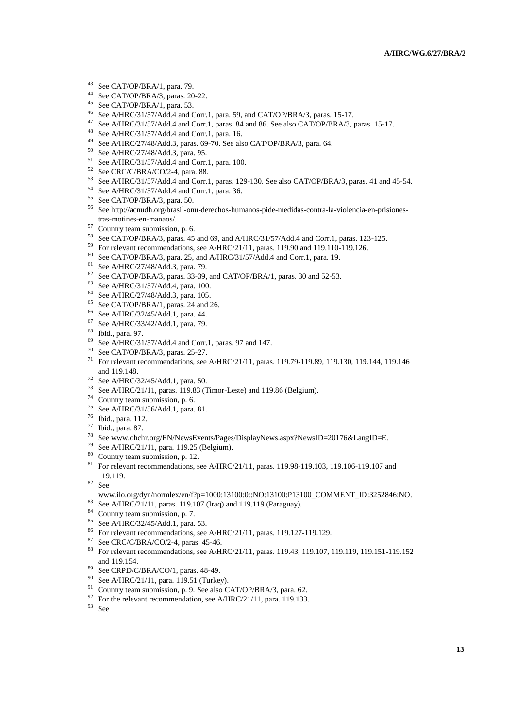- See CAT/OP/BRA/1, para. 79.
- See CAT/OP/BRA/3, paras. 20-22.
- See CAT/OP/BRA/1, para. 53.
- See A/HRC/31/57/Add.4 and Corr.1, para. 59, and CAT/OP/BRA/3, paras. 15-17.
- See A/HRC/31/57/Add.4 and Corr.1, paras. 84 and 86. See also CAT/OP/BRA/3, paras. 15-17.
- See A/HRC/31/57/Add.4 and Corr.1, para. 16.
- See A/HRC/27/48/Add.3, paras. 69-70. See also CAT/OP/BRA/3, para. 64.
- See A/HRC/27/48/Add.3, para. 95.
- See A/HRC/31/57/Add.4 and Corr.1, para. 100.
- See CRC/C/BRA/CO/2-4, para. 88.
- See A/HRC/31/57/Add.4 and Corr.1, paras. 129-130. See also CAT/OP/BRA/3, paras. 41 and 45-54.
- See A/HRC/31/57/Add.4 and Corr.1, para. 36.
- See CAT/OP/BRA/3, para. 50.
- See http://acnudh.org/brasil-onu-derechos-humanos-pide-medidas-contra-la-violencia-en-prisionestras-motines-en-manaos/.
- Country team submission, p. 6.
- See CAT/OP/BRA/3, paras. 45 and 69, and A/HRC/31/57/Add.4 and Corr.1, paras. 123-125.
- For relevant recommendations, see A/HRC/21/11, paras. 119.90 and 119.110-119.126.
- See CAT/OP/BRA/3, para. 25, and A/HRC/31/57/Add.4 and Corr.1, para. 19.
- See A/HRC/27/48/Add.3, para. 79.
- See CAT/OP/BRA/3, paras. 33-39, and CAT/OP/BRA/1, paras. 30 and 52-53.
- See A/HRC/31/57/Add.4, para. 100.
- See A/HRC/27/48/Add.3, para. 105.
- See CAT/OP/BRA/1, paras. 24 and 26.
- See A/HRC/32/45/Add.1, para. 44.
- See A/HRC/33/42/Add.1, para. 79.
- Ibid., para. 97.
- See A/HRC/31/57/Add.4 and Corr.1, paras. 97 and 147.
- See CAT/OP/BRA/3, paras. 25-27.
- For relevant recommendations, see A/HRC/21/11, paras. 119.79-119.89, 119.130, 119.144, 119.146 and 119.148.
- See A/HRC/32/45/Add.1, para. 50.
- See A/HRC/21/11, paras. 119.83 (Timor-Leste) and 119.86 (Belgium).
- Country team submission, p. 6.
- See A/HRC/31/56/Add.1, para. 81.
- Ibid., para. 112.
- Ibid., para. 87.
- See www.ohchr.org/EN/NewsEvents/Pages/DisplayNews.aspx?NewsID=20176&LangID=E.
- <sup>79</sup> See A/HRC/21/11, para. 119.25 (Belgium).
- Country team submission, p. 12.
- <sup>81</sup> For relevant recommendations, see A/HRC/21/11, paras. 119.98-119.103, 119.106-119.107 and 119.119.
- See

#### www.ilo.org/dyn/normlex/en/f?p=1000:13100:0::NO:13100:P13100\_COMMENT\_ID:3252846:NO.

- See A/HRC/21/11, paras. 119.107 (Iraq) and 119.119 (Paraguay).
- <sup>84</sup> Country team submission, p. 7.
- See A/HRC/32/45/Add.1, para. 53.
- For relevant recommendations, see A/HRC/21/11, paras. 119.127-119.129.
- See CRC/C/BRA/CO/2-4, paras. 45-46.
- For relevant recommendations, see A/HRC/21/11, paras. 119.43, 119.107, 119.119, 119.151-119.152 and 119.154.
- 89 See CRPD/C/BRA/CO/1, paras. 48-49.
- <sup>90</sup> See A/HRC/21/11, para. 119.51 (Turkey).
- <sup>91</sup> Country team submission, p. 9. See also CAT/OP/BRA/3, para. 62.
- <sup>92</sup> For the relevant recommendation, see A/HRC/21/11, para. 119.133.
- See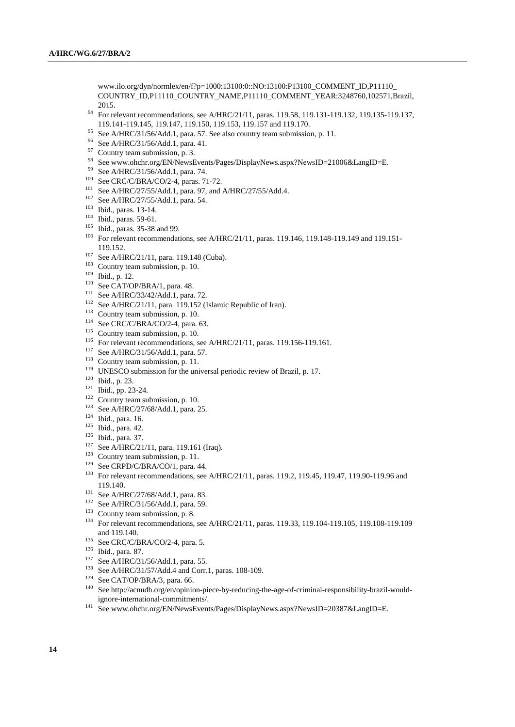www.ilo.org/dyn/normlex/en/f?p=1000:13100:0::NO:13100:P13100\_COMMENT\_ID,P11110\_ COUNTRY\_ID,P11110\_COUNTRY\_NAME,P11110\_COMMENT\_YEAR:3248760,102571,Brazil, 2015.

- <sup>94</sup> For relevant recommendations, see A/HRC/21/11, paras. 119.58, 119.131-119.132, 119.135-119.137, 119.141-119.145, 119.147, 119.150, 119.153, 119.157 and 119.170.
- <sup>95</sup> See A/HRC/31/56/Add.1, para. 57. See also country team submission, p. 11.
- <sup>96</sup> See A/HRC/31/56/Add.1, para. 41.
- <sup>97</sup> Country team submission, p. 3.
- <sup>98</sup> See www.ohchr.org/EN/NewsEvents/Pages/DisplayNews.aspx?NewsID=21006&LangID=E.
- <sup>99</sup> See A/HRC/31/56/Add.1, para. 74.
- <sup>100</sup> See CRC/C/BRA/CO/2-4, paras. 71-72.
- <sup>101</sup> See A/HRC/27/55/Add.1, para. 97, and A/HRC/27/55/Add.4.
- <sup>102</sup> See A/HRC/27/55/Add.1, para. 54.
- <sup>103</sup> Ibid., paras. 13-14.
- <sup>104</sup> Ibid., paras. 59-61.
- <sup>105</sup> Ibid., paras. 35-38 and 99.
- <sup>106</sup> For relevant recommendations, see A/HRC/21/11, paras. 119.146, 119.148-119.149 and 119.151-119.152.
- <sup>107</sup> See A/HRC/21/11, para. 119.148 (Cuba).
- <sup>108</sup> Country team submission, p. 10.
- <sup>109</sup> Ibid., p. 12.
- <sup>110</sup> See CAT/OP/BRA/1, para. 48.
- <sup>111</sup> See A/HRC/33/42/Add.1, para. 72.
- <sup>112</sup> See A/HRC/21/11, para. 119.152 (Islamic Republic of Iran).
- $113$  Country team submission, p. 10.
- <sup>114</sup> See CRC/C/BRA/CO/2-4, para. 63.
- <sup>115</sup> Country team submission, p. 10.
- <sup>116</sup> For relevant recommendations, see A/HRC/21/11, paras. 119.156-119.161.
- <sup>117</sup> See A/HRC/31/56/Add.1, para. 57.
- $118$  Country team submission, p. 11.
- <sup>119</sup> UNESCO submission for the universal periodic review of Brazil, p. 17.
- <sup>120</sup> Ibid., p. 23.
- <sup>121</sup> Ibid., pp. 23-24.
- <sup>122</sup> Country team submission, p. 10.
- <sup>123</sup> See A/HRC/27/68/Add.1, para. 25.
- <sup>124</sup> Ibid., para. 16.
- <sup>125</sup> Ibid., para. 42.
- <sup>126</sup> Ibid., para. 37.
- <sup>127</sup> See A/HRC/21/11, para. 119.161 (Iraq).
- <sup>128</sup> Country team submission, p. 11.
- <sup>129</sup> See CRPD/C/BRA/CO/1, para. 44.
- <sup>130</sup> For relevant recommendations, see A/HRC/21/11, paras. 119.2, 119.45, 119.47, 119.90-119.96 and 119.140.
- <sup>131</sup> See A/HRC/27/68/Add.1, para. 83.
- <sup>132</sup> See A/HRC/31/56/Add.1, para. 59.
- <sup>133</sup> Country team submission, p. 8.
- <sup>134</sup> For relevant recommendations, see A/HRC/21/11, paras. 119.33, 119.104-119.105, 119.108-119.109 and 119.140.
- <sup>135</sup> See CRC/C/BRA/CO/2-4, para. 5.
- <sup>136</sup> Ibid., para. 87.
- <sup>137</sup> See A/HRC/31/56/Add.1, para. 55.
- <sup>138</sup> See A/HRC/31/57/Add.4 and Corr.1, paras. 108-109.
- <sup>139</sup> See CAT/OP/BRA/3, para. 66.
- <sup>140</sup> See http://acnudh.org/en/opinion-piece-by-reducing-the-age-of-criminal-responsibility-brazil-wouldignore-international-commitments/.
- <sup>141</sup> See www.ohchr.org/EN/NewsEvents/Pages/DisplayNews.aspx?NewsID=20387&LangID=E.